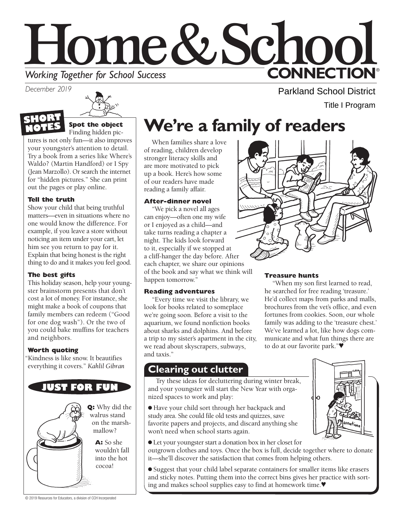# Home&School **CONNECTION® Working Together for School Success**

*December 2019* 





Finding hidden pic-

tures is not only fun—it also improves your youngster's attention to detail. Try a book from a series like Where's Waldo? (Martin Handford) or I Spy (Jean Marzollo). Or search the internet for "hidden pictures." She can print out the pages or play online.

#### **Tell the truth**

 thing to do and it makes you feel good. Show your child that being truthful matters—even in situations where no one would know the difference. For example, if you leave a store without noticing an item under your cart, let him see you return to pay for it. Explain that being honest is the right

#### **The best gifts**

This holiday season, help your youngster brainstorm presents that don't cost a lot of money. For instance, she might make a book of coupons that family members can redeem ("Good for one dog wash"). Or the two of you could bake muffins for teachers and neighbors.

#### **Worth quoting**

"Kindness is like snow. It beautifies everything it covers." *Kahlil Gibran* 



**Q:** Why did the on the marsh-

> wouldn't fall into the hot

## **We're a family of readers**

When families share a love of reading, children develop stronger literacy skills and are more motivated to pick up a book. Here's how some of our readers have made reading a family affair.

### **After-dinner novel**

"We pick a novel all ages can enjoy—often one my wife or I enjoyed as a child—and take turns reading a chapter a night. The kids look forward to it, especially if we stopped at a cliff-hanger the day before. After each chapter, we share our opinions of the book and say what we think will happen tomorrow."

#### **Reading adventures**

"Every time we visit the library, we look for books related to someplace we're going soon. Before a visit to the aquarium, we found nonfiction books about sharks and dolphins. And before a trip to my sister's apartment in the city, we read about skyscrapers, subways, and taxis."

### **Clearing out clutter**

Try these ideas for decluttering during winter break, and your youngster will start the New Year with organized spaces to work and play:

● Have your child sort through her backpack and study area. She could file old tests and quizzes, save favorite papers and projects, and discard anything she won't need when school starts again.

● Let your youngster start a donation box in her closet for outgrown clothes and toys. Once the box is full, decide together where to donate it—she'll discover the satisfaction that comes from helping others.

● Suggest that your child label separate containers for smaller items like erasers and sticky notes. Putting them into the correct bins gives her practice with sorting and makes school supplies easy to find at homework time.♥



Parkland School District

Title I Program

#### **Treasure hunts**

"When my son first learned to read, he searched for free reading 'treasure.' He'd collect maps from parks and malls, brochures from the vet's office, and even fortunes from cookies. Soon, our whole family was adding to the 'treasure chest.' We've learned a lot, like how dogs communicate and what fun things there are to do at our favorite park."♥